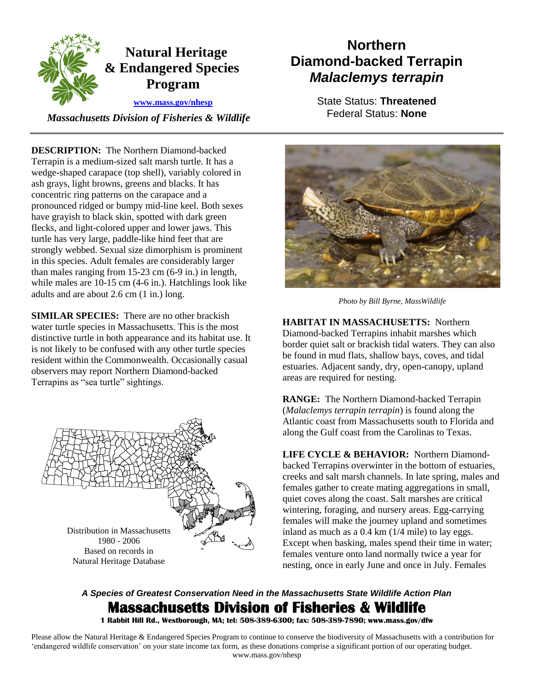

*Massachusetts Division of Fisheries & Wildlife* Federal Status: None

**DESCRIPTION:** The Northern Diamond-backed Terrapin is a medium-sized salt marsh turtle. It has a wedge-shaped carapace (top shell), variably colored in ash grays, light browns, greens and blacks. It has concentric ring patterns on the carapace and a pronounced ridged or bumpy mid-line keel. Both sexes have grayish to black skin, spotted with dark green flecks, and light-colored upper and lower jaws. This turtle has very large, paddle-like hind feet that are strongly webbed. Sexual size dimorphism is prominent in this species. Adult females are considerably larger than males ranging from 15-23 cm (6-9 in.) in length, while males are 10-15 cm (4-6 in.). Hatchlings look like adults and are about 2.6 cm (1 in.) long.

**SIMILAR SPECIES:** There are no other brackish water turtle species in Massachusetts. This is the most distinctive turtle in both appearance and its habitat use. It is not likely to be confused with any other turtle species resident within the Commonwealth. Occasionally casual observers may report Northern Diamond-backed Terrapins as "sea turtle" sightings.



# **Northern 19 Actural Heritage 19 Actural Heritage 19 Action 19 Action 20 Action 20 Action 20 Action 20 Action 20 Action 20 Action 20 Action 20 Action 20 Action 20 Action 20 Action 20 Action 20 Action 20 Action 20 Action 20**

**www.mass.gov/nhesp State Status: Threatened** 



**HABITAT IN MASSACHUSETTS:** Northern Diamond-backed Terrapins inhabit marshes which border quiet salt or brackish tidal waters. They can also be found in mud flats, shallow bays, coves, and tidal estuaries. Adjacent sandy, dry, open-canopy, upland areas are required for nesting.

**RANGE:** The Northern Diamond-backed Terrapin (*Malaclemys terrapin terrapin*) is found along the Atlantic coast from Massachusetts south to Florida and along the Gulf coast from the Carolinas to Texas.

**LIFE CYCLE & BEHAVIOR:** Northern Diamondbacked Terrapins overwinter in the bottom of estuaries, creeks and salt marsh channels. In late spring, males and females gather to create mating aggregations in small, quiet coves along the coast. Salt marshes are critical wintering, foraging, and nursery areas. Egg-carrying females will make the journey upland and sometimes inland as much as a 0.4 km (1/4 mile) to lay eggs. Except when basking, males spend their time in water; females venture onto land normally twice a year for nesting, once in early June and once in July. Females

## *A Species of Greatest Conservation Need in the Massachusetts State Wildlife Action Plan*  **Massachusetts Division of Fisheries & Wildlife**

 **1 Rabbit Hill Rd., Westborough, MA; tel: 508-389-6300; fax: 508-389-7890; www.mass.gov/dfw** 

 Please allow the Natural Heritage & Endangered Species Program to continue to conserve the biodiversity of Massachusetts with a contribution for 'endangered wildlife conservation' on your state income tax form, as these donations comprise a significant portion of our operating budget. www.mass.gov/nhesp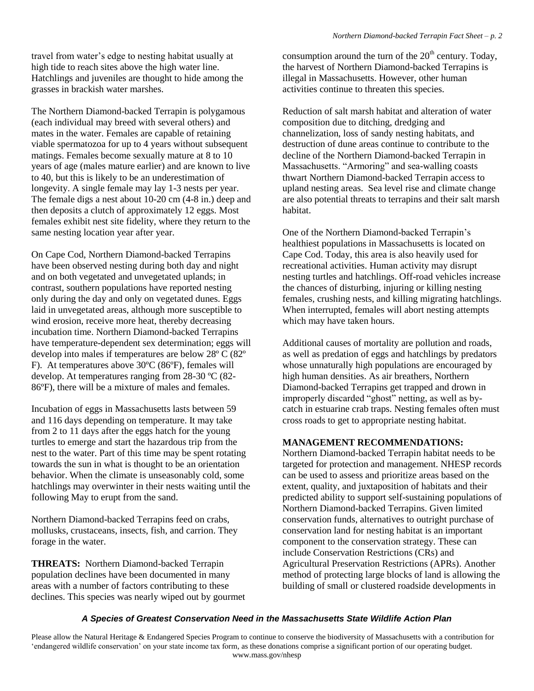travel from water's edge to nesting habitat usually at high tide to reach sites above the high water line. Hatchlings and juveniles are thought to hide among the grasses in brackish water marshes.

The Northern Diamond-backed Terrapin is polygamous (each individual may breed with several others) and mates in the water. Females are capable of retaining viable spermatozoa for up to 4 years without subsequent matings. Females become sexually mature at 8 to 10 years of age (males mature earlier) and are known to live to 40, but this is likely to be an underestimation of longevity. A single female may lay 1-3 nests per year. The female digs a nest about 10-20 cm (4-8 in.) deep and then deposits a clutch of approximately 12 eggs. Most females exhibit nest site fidelity, where they return to the same nesting location year after year.

On Cape Cod, Northern Diamond-backed Terrapins have been observed nesting during both day and night and on both vegetated and unvegetated uplands; in contrast, southern populations have reported nesting only during the day and only on vegetated dunes. Eggs laid in unvegetated areas, although more susceptible to wind erosion, receive more heat, thereby decreasing incubation time. Northern Diamond-backed Terrapins have temperature-dependent sex determination; eggs will develop into males if temperatures are below 28º C (82º F). At temperatures above 30ºC (86ºF), females will develop. At temperatures ranging from 28-30 ºC (82 86ºF), there will be a mixture of males and females.

Incubation of eggs in Massachusetts lasts between 59 and 116 days depending on temperature. It may take from 2 to 11 days after the eggs hatch for the young turtles to emerge and start the hazardous trip from the nest to the water. Part of this time may be spent rotating towards the sun in what is thought to be an orientation behavior. When the climate is unseasonably cold, some hatchlings may overwinter in their nests waiting until the following May to erupt from the sand.

Northern Diamond-backed Terrapins feed on crabs, mollusks, crustaceans, insects, fish, and carrion. They forage in the water.

**THREATS:** Northern Diamond-backed Terrapin population declines have been documented in many areas with a number of factors contributing to these declines. This species was nearly wiped out by gourmet the harvest of Northern Diamond-backed Terrapins is illegal in Massachusetts. However, other human activities continue to threaten this species.

consumption around the turn of the 20<sup>th</sup> century. Today,<br>the harvest of Northern Diamond-backed Terrapins is<br>ilegal in Massachusetts. However, other human<br>activities continue to threaten this species.<br>Reduction of salt m Reduction of salt marsh habitat and alteration of water composition due to ditching, dredging and channelization, loss of sandy nesting habitats, and destruction of dune areas continue to contribute to the decline of the Northern Diamond-backed Terrapin in Massachusetts. "Armoring" and sea-walling coasts thwart Northern Diamond-backed Terrapin access to upland nesting areas. Sea level rise and climate change are also potential threats to terrapins and their salt marsh habitat.

One of the Northern Diamond-backed Terrapin's healthiest populations in Massachusetts is located on Cape Cod. Today, this area is also heavily used for recreational activities. Human activity may disrupt nesting turtles and hatchlings. Off-road vehicles increase the chances of disturbing, injuring or killing nesting females, crushing nests, and killing migrating hatchlings. When interrupted, females will abort nesting attempts which may have taken hours.

Additional causes of mortality are pollution and roads, as well as predation of eggs and hatchlings by predators whose unnaturally high populations are encouraged by high human densities. As air breathers, Northern Diamond-backed Terrapins get trapped and drown in improperly discarded "ghost" netting, as well as bycatch in estuarine crab traps. Nesting females often must cross roads to get to appropriate nesting habitat.

### **MANAGEMENT RECOMMENDATIONS:**

Northern Diamond-backed Terrapin habitat needs to be targeted for protection and management. NHESP records can be used to assess and prioritize areas based on the extent, quality, and juxtaposition of habitats and their predicted ability to support self-sustaining populations of Northern Diamond-backed Terrapins. Given limited conservation funds, alternatives to outright purchase of conservation land for nesting habitat is an important component to the conservation strategy. These can include Conservation Restrictions (CRs) and Agricultural Preservation Restrictions (APRs). Another method of protecting large blocks of land is allowing the building of small or clustered roadside developments in

### *A Species of Greatest Conservation Need in the Massachusetts State Wildlife Action Plan*

 Please allow the Natural Heritage & Endangered Species Program to continue to conserve the biodiversity of Massachusetts with a contribution for 'endangered wildlife conservation' on your state income tax form, as these donations comprise a significant portion of our operating budget. www.mass.gov/nhesp